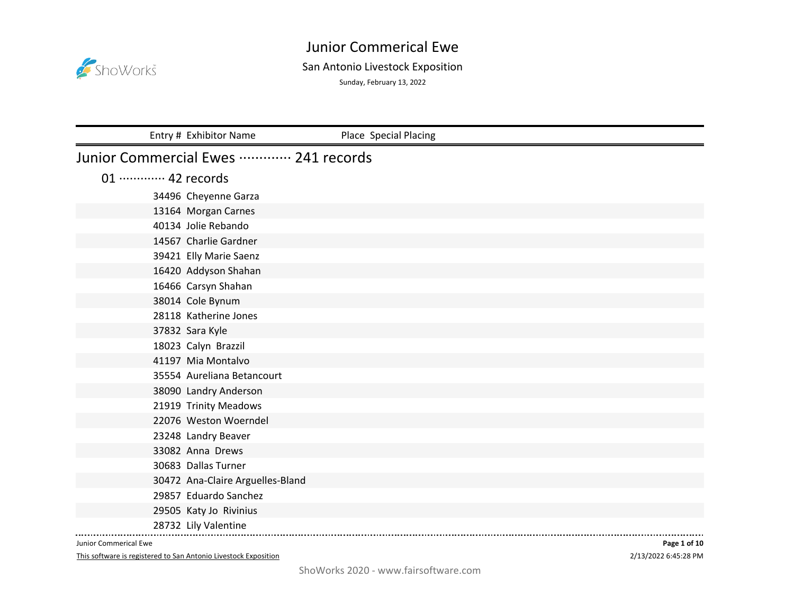

## San Antonio Livestock Exposition

Sunday, February 13, 2022

|                             | Entry # Exhibitor Name              | Place Special Placing |
|-----------------------------|-------------------------------------|-----------------------|
|                             | Junior Commercial Ewes  241 records |                       |
| 01 ············· 42 records |                                     |                       |
|                             | 34496 Cheyenne Garza                |                       |
|                             | 13164 Morgan Carnes                 |                       |
|                             | 40134 Jolie Rebando                 |                       |
|                             | 14567 Charlie Gardner               |                       |
|                             | 39421 Elly Marie Saenz              |                       |
|                             | 16420 Addyson Shahan                |                       |
|                             | 16466 Carsyn Shahan                 |                       |
|                             | 38014 Cole Bynum                    |                       |
|                             | 28118 Katherine Jones               |                       |
|                             | 37832 Sara Kyle                     |                       |
|                             | 18023 Calyn Brazzil                 |                       |
|                             | 41197 Mia Montalvo                  |                       |
|                             | 35554 Aureliana Betancourt          |                       |
|                             | 38090 Landry Anderson               |                       |
|                             | 21919 Trinity Meadows               |                       |
|                             | 22076 Weston Woerndel               |                       |
|                             | 23248 Landry Beaver                 |                       |
|                             | 33082 Anna Drews                    |                       |
|                             | 30683 Dallas Turner                 |                       |
|                             | 30472 Ana-Claire Arguelles-Bland    |                       |
|                             | 29857 Eduardo Sanchez               |                       |
|                             | 29505 Katy Jo Rivinius              |                       |
|                             | 28732 Lily Valentine                |                       |

Junior Commerical Ewe

This software is registered to San Antonio Livestock Exposition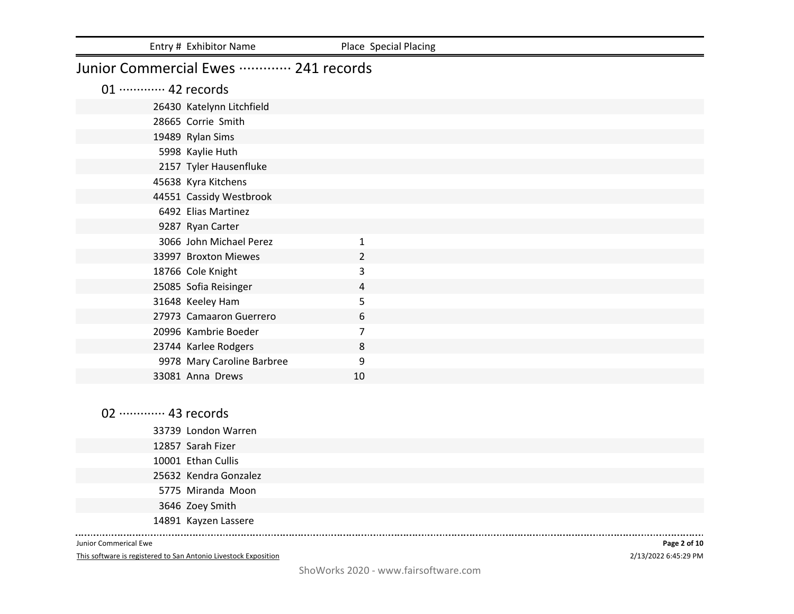|                             | Entry # Exhibitor Name              | Place Special Placing |  |
|-----------------------------|-------------------------------------|-----------------------|--|
|                             | Junior Commercial Ewes  241 records |                       |  |
| 01 ············· 42 records |                                     |                       |  |
|                             | 26430 Katelynn Litchfield           |                       |  |
|                             | 28665 Corrie Smith                  |                       |  |
|                             | 19489 Rylan Sims                    |                       |  |
|                             | 5998 Kaylie Huth                    |                       |  |
|                             | 2157 Tyler Hausenfluke              |                       |  |
|                             | 45638 Kyra Kitchens                 |                       |  |
|                             | 44551 Cassidy Westbrook             |                       |  |
|                             | 6492 Elias Martinez                 |                       |  |
|                             | 9287 Ryan Carter                    |                       |  |
|                             | 3066 John Michael Perez             | 1                     |  |
|                             | 33997 Broxton Miewes                | $\overline{2}$        |  |
|                             | 18766 Cole Knight                   | 3                     |  |
|                             | 25085 Sofia Reisinger               | 4                     |  |
|                             | 31648 Keeley Ham                    | 5                     |  |
|                             | 27973 Camaaron Guerrero             | 6                     |  |
|                             | 20996 Kambrie Boeder                | $\overline{7}$        |  |
|                             | 23744 Karlee Rodgers                | 8                     |  |
|                             | 9978 Mary Caroline Barbree          | 9                     |  |
|                             | 33081 Anna Drews                    | 10                    |  |

02 ·············· 43 records London Warren Sarah Fizer Ethan Cullis Kendra Gonzalez Miranda Moon Zoey Smith Kayzen Lassere

Junior Commerical Ewe

 $\begin{array}{cccccccccc} \multicolumn{2}{c}{} & \multicolumn{2}{c}{} & \multicolumn{2}{c}{} & \multicolumn{2}{c}{} & \multicolumn{2}{c}{} & \multicolumn{2}{c}{} & \multicolumn{2}{c}{} & \multicolumn{2}{c}{} & \multicolumn{2}{c}{} & \multicolumn{2}{c}{} & \multicolumn{2}{c}{} & \multicolumn{2}{c}{} & \multicolumn{2}{c}{} & \multicolumn{2}{c}{} & \multicolumn{2}{c}{} & \multicolumn{2}{c}{} & \multicolumn{2}{c}{} & \multicolumn{2}{c}{} & \multicolumn{2}{c}{} & \mult$ 

This software is registered to San Antonio Livestock Exposition

2/13/2022 6:45:29 PM **Page 2 of 10**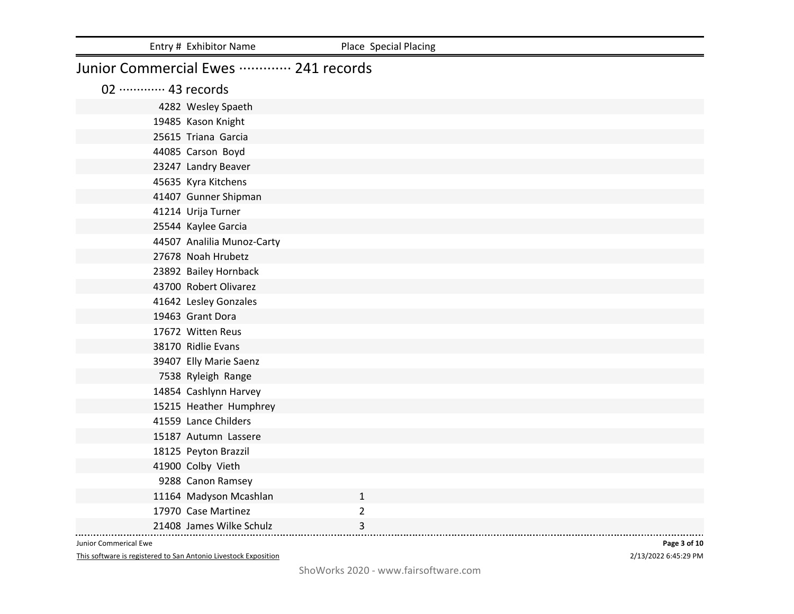|                             | Entry # Exhibitor Name              | Place Special Placing |
|-----------------------------|-------------------------------------|-----------------------|
|                             | Junior Commercial Ewes  241 records |                       |
| 02 ············· 43 records |                                     |                       |
|                             | 4282 Wesley Spaeth                  |                       |
|                             | 19485 Kason Knight                  |                       |
|                             | 25615 Triana Garcia                 |                       |
|                             | 44085 Carson Boyd                   |                       |
|                             | 23247 Landry Beaver                 |                       |
|                             | 45635 Kyra Kitchens                 |                       |
|                             | 41407 Gunner Shipman                |                       |
|                             | 41214 Urija Turner                  |                       |
|                             | 25544 Kaylee Garcia                 |                       |
|                             | 44507 Analilia Munoz-Carty          |                       |
|                             | 27678 Noah Hrubetz                  |                       |
|                             | 23892 Bailey Hornback               |                       |
|                             | 43700 Robert Olivarez               |                       |
|                             | 41642 Lesley Gonzales               |                       |
|                             | 19463 Grant Dora                    |                       |
|                             | 17672 Witten Reus                   |                       |
|                             | 38170 Ridlie Evans                  |                       |
|                             | 39407 Elly Marie Saenz              |                       |
|                             | 7538 Ryleigh Range                  |                       |
|                             | 14854 Cashlynn Harvey               |                       |
|                             | 15215 Heather Humphrey              |                       |
|                             | 41559 Lance Childers                |                       |
|                             | 15187 Autumn Lassere                |                       |
|                             | 18125 Peyton Brazzil                |                       |
|                             | 41900 Colby Vieth                   |                       |
|                             | 9288 Canon Ramsey                   |                       |
|                             | 11164 Madyson Mcashlan              | $\mathbf{1}$          |
|                             | 17970 Case Martinez                 | $\overline{2}$        |
|                             | 21408 James Wilke Schulz            | 3                     |

This software is registered to San Antonio Livestock Exposition

2/13/2022 6:45:29 PM **Page 3 of 10**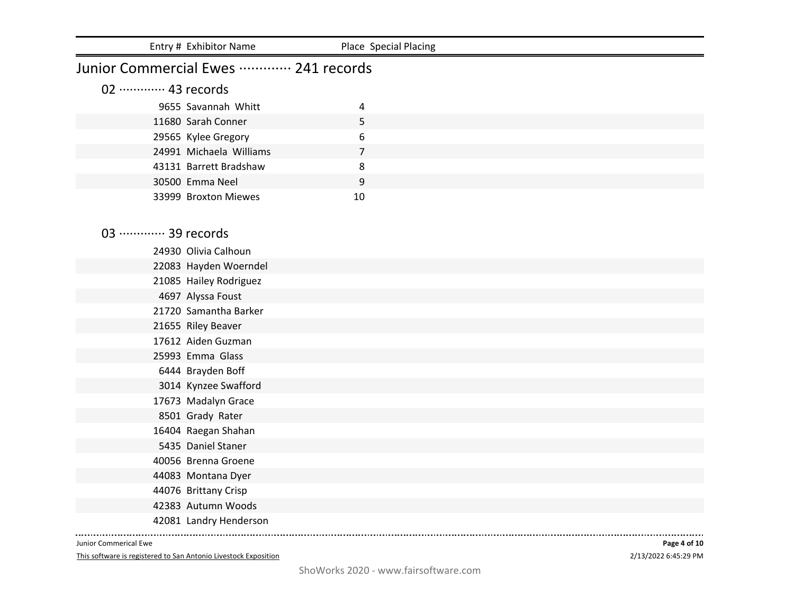|                             | Entry # Exhibitor Name              | Place Special Placing |  |
|-----------------------------|-------------------------------------|-----------------------|--|
|                             | Junior Commercial Ewes  241 records |                       |  |
| 02 ············· 43 records |                                     |                       |  |
|                             | 9655 Savannah Whitt                 | 4                     |  |
|                             | 11680 Sarah Conner                  | 5                     |  |
|                             | 29565 Kylee Gregory                 | 6                     |  |
|                             | 24991 Michaela Williams             | $\overline{7}$        |  |
|                             | 43131 Barrett Bradshaw              | 8                     |  |
|                             | 30500 Emma Neel                     | 9                     |  |
|                             | 33999 Broxton Miewes                | 10                    |  |
|                             |                                     |                       |  |
| 03  39 records              |                                     |                       |  |
|                             | 24930 Olivia Calhoun                |                       |  |
|                             | 22083 Hayden Woerndel               |                       |  |
|                             | 21085 Hailey Rodriguez              |                       |  |
|                             | 4697 Alyssa Foust                   |                       |  |
|                             | 21720 Samantha Barker               |                       |  |
|                             | 21655 Riley Beaver                  |                       |  |
|                             | 17612 Aiden Guzman                  |                       |  |
|                             | 25993 Emma Glass                    |                       |  |
|                             | 6444 Brayden Boff                   |                       |  |
|                             | 3014 Kynzee Swafford                |                       |  |
|                             | 17673 Madalyn Grace                 |                       |  |
|                             | 8501 Grady Rater                    |                       |  |
|                             | 16404 Raegan Shahan                 |                       |  |
|                             | 5435 Daniel Staner                  |                       |  |
|                             | 40056 Brenna Groene                 |                       |  |
|                             | 44083 Montana Dyer                  |                       |  |
|                             | 44076 Brittany Crisp                |                       |  |
|                             | 42383 Autumn Woods                  |                       |  |
|                             | 42081 Landry Henderson              |                       |  |

This software is registered to San Antonio Livestock Exposition

2/13/2022 6:45:29 PM **Page 4 of 10**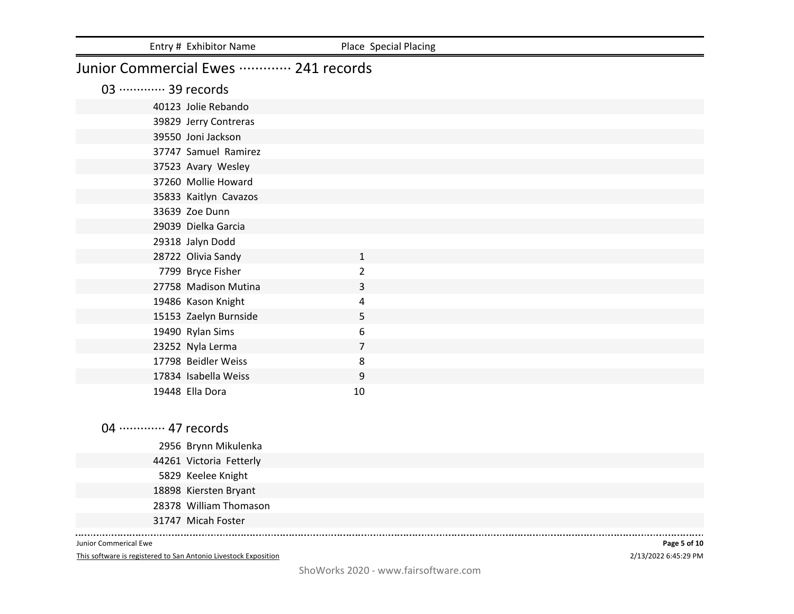|                             | Entry # Exhibitor Name              | Place Special Placing |  |
|-----------------------------|-------------------------------------|-----------------------|--|
|                             | Junior Commercial Ewes  241 records |                       |  |
| 03 ············· 39 records |                                     |                       |  |
|                             | 40123 Jolie Rebando                 |                       |  |
|                             | 39829 Jerry Contreras               |                       |  |
|                             | 39550 Joni Jackson                  |                       |  |
|                             | 37747 Samuel Ramirez                |                       |  |
|                             | 37523 Avary Wesley                  |                       |  |
|                             | 37260 Mollie Howard                 |                       |  |
|                             | 35833 Kaitlyn Cavazos               |                       |  |
|                             | 33639 Zoe Dunn                      |                       |  |
|                             | 29039 Dielka Garcia                 |                       |  |
|                             | 29318 Jalyn Dodd                    |                       |  |
|                             | 28722 Olivia Sandy                  | $\mathbf{1}$          |  |
|                             | 7799 Bryce Fisher                   | $\overline{2}$        |  |
|                             | 27758 Madison Mutina                | 3                     |  |
|                             | 19486 Kason Knight                  | 4                     |  |
|                             | 15153 Zaelyn Burnside               | 5                     |  |
|                             | 19490 Rylan Sims                    | 6                     |  |
|                             | 23252 Nyla Lerma                    | $\overline{7}$        |  |
|                             | 17798 Beidler Weiss                 | 8                     |  |
|                             | 17834 Isabella Weiss                | 9                     |  |
|                             | 19448 Ella Dora                     | 10                    |  |
|                             |                                     |                       |  |

04 ············· 47 records

| 2956 Brynn Mikulenka    |
|-------------------------|
| 44261 Victoria Fetterly |
| 5829 Keelee Knight      |
| 18898 Kiersten Bryant   |
| 28378 William Thomason  |
| 31747 Micah Foster      |
|                         |

Junior Commerical Ewe

 $\sim$   $\sim$   $\sim$ 

This software is registered to San Antonio Livestock Exposition

2/13/2022 6:45:29 PM **Page 5 of 10**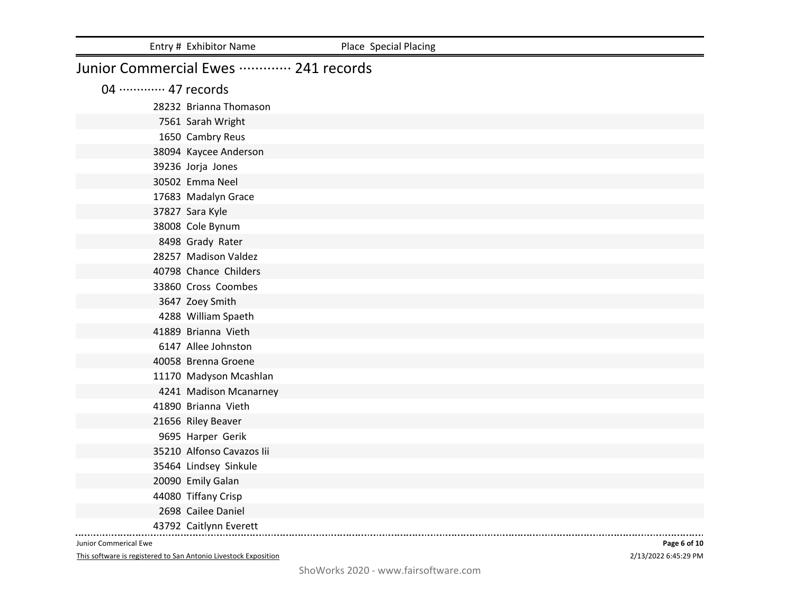|                             | Entry # Exhibitor Name              | Place Special Placing |
|-----------------------------|-------------------------------------|-----------------------|
|                             | Junior Commercial Ewes  241 records |                       |
| 04 ············· 47 records |                                     |                       |
|                             | 28232 Brianna Thomason              |                       |
|                             | 7561 Sarah Wright                   |                       |
|                             | 1650 Cambry Reus                    |                       |
|                             | 38094 Kaycee Anderson               |                       |
|                             | 39236 Jorja Jones                   |                       |
|                             | 30502 Emma Neel                     |                       |
|                             | 17683 Madalyn Grace                 |                       |
|                             | 37827 Sara Kyle                     |                       |
|                             | 38008 Cole Bynum                    |                       |
|                             | 8498 Grady Rater                    |                       |
|                             | 28257 Madison Valdez                |                       |
|                             | 40798 Chance Childers               |                       |
|                             | 33860 Cross Coombes                 |                       |
|                             | 3647 Zoey Smith                     |                       |
|                             | 4288 William Spaeth                 |                       |
|                             | 41889 Brianna Vieth                 |                       |
|                             | 6147 Allee Johnston                 |                       |
|                             | 40058 Brenna Groene                 |                       |
|                             | 11170 Madyson Mcashlan              |                       |
|                             | 4241 Madison Mcanarney              |                       |
|                             | 41890 Brianna Vieth                 |                       |
|                             | 21656 Riley Beaver                  |                       |
|                             | 9695 Harper Gerik                   |                       |
|                             | 35210 Alfonso Cavazos lii           |                       |
|                             | 35464 Lindsey Sinkule               |                       |
|                             | 20090 Emily Galan                   |                       |
|                             | 44080 Tiffany Crisp                 |                       |
|                             | 2698 Cailee Daniel                  |                       |
|                             | 43792 Caitlynn Everett              |                       |

This software is registered to San Antonio Livestock Exposition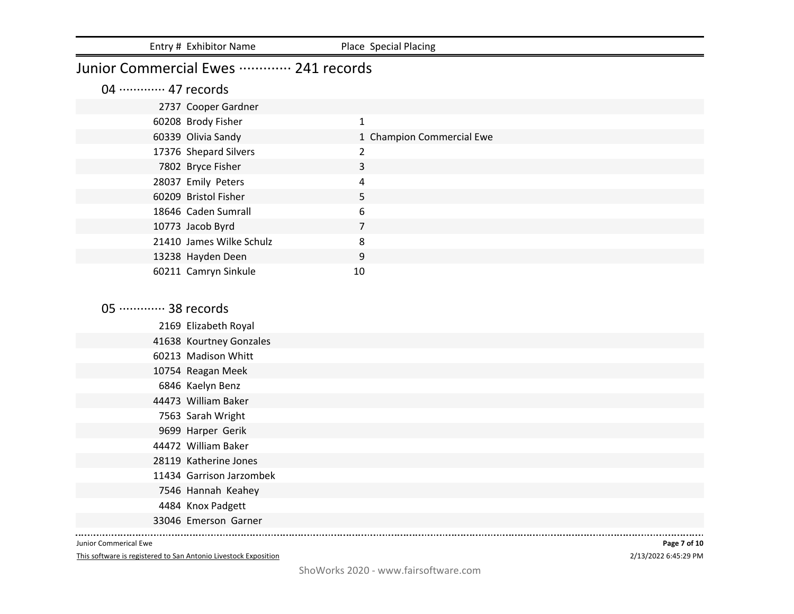|                             | Entry # Exhibitor Name              | Place Special Placing     |
|-----------------------------|-------------------------------------|---------------------------|
|                             | Junior Commercial Ewes  241 records |                           |
| 04 ············· 47 records |                                     |                           |
|                             | 2737 Cooper Gardner                 |                           |
|                             | 60208 Brody Fisher                  | $\mathbf{1}$              |
|                             | 60339 Olivia Sandy                  | 1 Champion Commercial Ewe |
|                             | 17376 Shepard Silvers               | $\overline{2}$            |
|                             | 7802 Bryce Fisher                   | 3                         |
|                             | 28037 Emily Peters                  | 4                         |
|                             | 60209 Bristol Fisher                | 5                         |
|                             | 18646 Caden Sumrall                 | 6                         |
|                             | 10773 Jacob Byrd                    | $\overline{7}$            |
|                             | 21410 James Wilke Schulz            | 8                         |
|                             | 13238 Hayden Deen                   | 9                         |
|                             | 60211 Camryn Sinkule                | 10                        |
|                             |                                     |                           |
| 05 ············· 38 records |                                     |                           |
|                             | 2169 Elizabeth Royal                |                           |
|                             | 41638 Kourtney Gonzales             |                           |
|                             | 60213 Madison Whitt                 |                           |
|                             | 10754 Reagan Meek                   |                           |
|                             | 6846 Kaelyn Benz                    |                           |
|                             | 44473 William Baker                 |                           |
|                             | 7563 Sarah Wright                   |                           |
|                             | 9699 Harper Gerik                   |                           |
|                             | 44472 William Baker                 |                           |
|                             | 28119 Katherine Jones               |                           |

- Garrison Jarzombek
	- Hannah Keahey
- Knox Padgett
- Emerson Garner

 $\sim$   $\sim$   $\sim$ 

This software is registered to San Antonio Livestock Exposition

2/13/2022 6:45:29 PM **Page 7 of 10**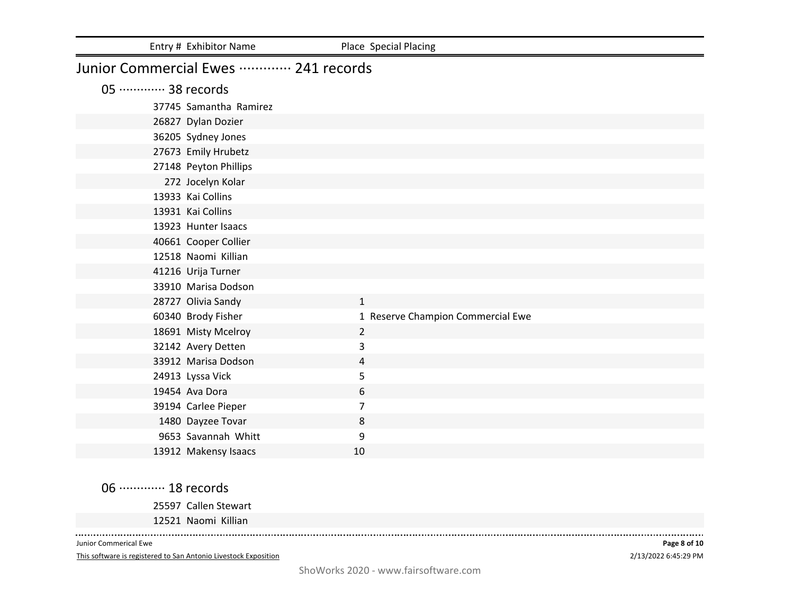|                             | Entry # Exhibitor Name              | Place Special Placing             |
|-----------------------------|-------------------------------------|-----------------------------------|
|                             | Junior Commercial Ewes  241 records |                                   |
| 05 ············· 38 records |                                     |                                   |
|                             | 37745 Samantha Ramirez              |                                   |
|                             | 26827 Dylan Dozier                  |                                   |
|                             | 36205 Sydney Jones                  |                                   |
|                             | 27673 Emily Hrubetz                 |                                   |
|                             | 27148 Peyton Phillips               |                                   |
|                             | 272 Jocelyn Kolar                   |                                   |
|                             | 13933 Kai Collins                   |                                   |
|                             | 13931 Kai Collins                   |                                   |
|                             | 13923 Hunter Isaacs                 |                                   |
|                             | 40661 Cooper Collier                |                                   |
|                             | 12518 Naomi Killian                 |                                   |
|                             | 41216 Urija Turner                  |                                   |
|                             | 33910 Marisa Dodson                 |                                   |
|                             | 28727 Olivia Sandy                  | $\mathbf{1}$                      |
|                             | 60340 Brody Fisher                  | 1 Reserve Champion Commercial Ewe |
|                             | 18691 Misty Mcelroy                 | $\overline{2}$                    |
|                             | 32142 Avery Detten                  | 3                                 |
|                             | 33912 Marisa Dodson                 | 4                                 |
|                             | 24913 Lyssa Vick                    | 5                                 |
|                             | 19454 Ava Dora                      | 6                                 |
|                             | 39194 Carlee Pieper                 | 7                                 |
|                             | 1480 Dayzee Tovar                   | 8                                 |
|                             | 9653 Savannah Whitt                 | 9                                 |
|                             | 13912 Makensy Isaacs                | 10                                |

06 ·············· 18 records

Callen Stewart

Naomi Killian

Junior Commerical Ewe

 $\sim$  . . . . .

This software is registered to San Antonio Livestock Exposition

2/13/2022 6:45:29 PM **Page 8 of 10**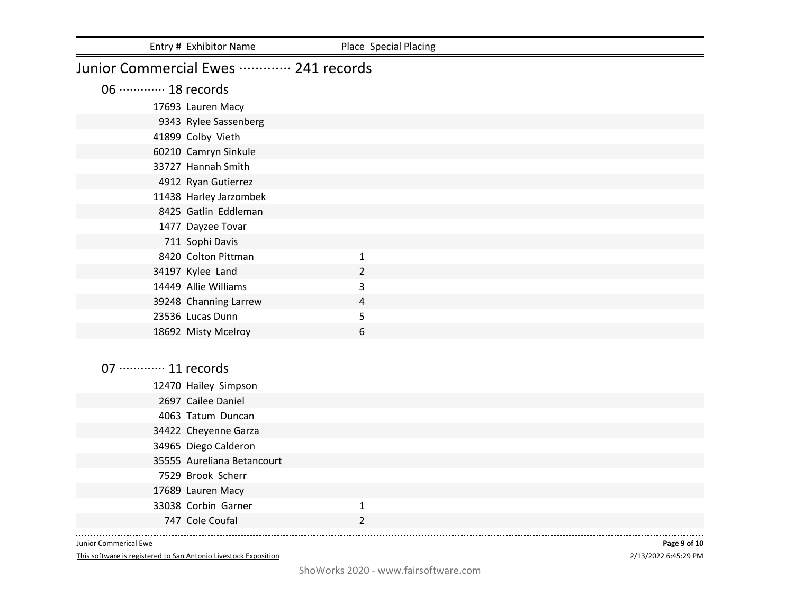|                             | Entry # Exhibitor Name              | Place Special Placing |  |
|-----------------------------|-------------------------------------|-----------------------|--|
|                             | Junior Commercial Ewes  241 records |                       |  |
| 06 ············· 18 records |                                     |                       |  |
|                             | 17693 Lauren Macy                   |                       |  |
|                             | 9343 Rylee Sassenberg               |                       |  |
|                             | 41899 Colby Vieth                   |                       |  |
|                             | 60210 Camryn Sinkule                |                       |  |
|                             | 33727 Hannah Smith                  |                       |  |
|                             | 4912 Ryan Gutierrez                 |                       |  |
|                             | 11438 Harley Jarzombek              |                       |  |
|                             | 8425 Gatlin Eddleman                |                       |  |
|                             | 1477 Dayzee Tovar                   |                       |  |
|                             | 711 Sophi Davis                     |                       |  |
|                             | 8420 Colton Pittman                 | $\mathbf{1}$          |  |
|                             | 34197 Kylee Land                    | $\overline{2}$        |  |
|                             | 14449 Allie Williams                | 3                     |  |
|                             | 39248 Channing Larrew               | $\overline{4}$        |  |
|                             | 23536 Lucas Dunn                    | 5                     |  |
|                             | 18692 Misty Mcelroy                 | 6                     |  |
|                             |                                     |                       |  |
| 07 ············· 11 records |                                     |                       |  |
|                             | 12470 Hailey Simpson                |                       |  |
|                             | 2697 Cailee Daniel                  |                       |  |
|                             | 4063 Tatum Duncan                   |                       |  |
|                             | 34422 Cheyenne Garza                |                       |  |
|                             | 34965 Diego Calderon                |                       |  |
|                             | 35555 Aureliana Betancourt          |                       |  |
|                             | 7529 Brook Scherr                   |                       |  |
|                             | 17689 Lauren Macy                   |                       |  |
|                             | 33038 Corbin Garner                 | $\mathbf{1}$          |  |
|                             | 747 Cole Coufal                     | $\overline{2}$        |  |

This software is registered to San Antonio Livestock Exposition

2/13/2022 6:45:29 PM **Page 9 of 10**